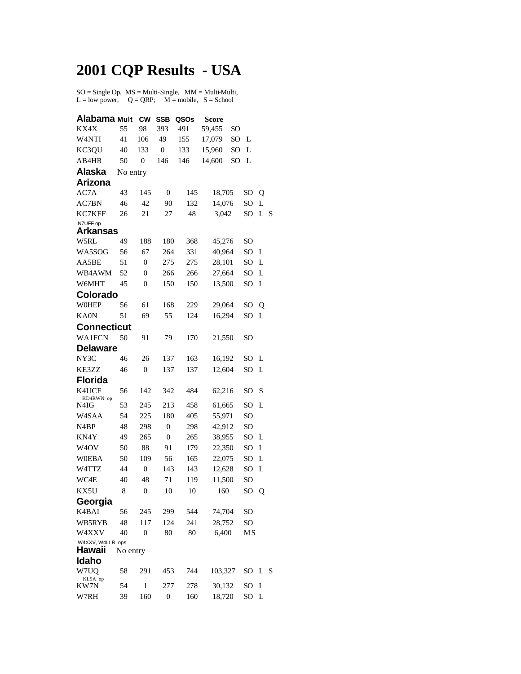## **2001 CQP Results - USA**

 $SO = Single Op$ ,  $MS = Multi-Single$ ,  $MM = Multi-Multi$ ,  $L = low power$ ;  $Q = QRP$ ;  $M = mobile$ ,  $S = School$ 

| Alabama Mult                |          | <b>CW</b>      | <b>SSB</b>       | QSOs | Score   |                 |                 |     |
|-----------------------------|----------|----------------|------------------|------|---------|-----------------|-----------------|-----|
| KX4X                        | 55       | 98             | 393              | 491  | 59,455  | SO              |                 |     |
| W <sub>4</sub> NTI          | 41       | 106            | 49               | 155  | 17,079  | SO              | L               |     |
| KC3QU                       | 40       | 133            | $\mathbf{0}$     | 133  | 15,960  | SO <sub>1</sub> | L               |     |
| AB4HR                       | 50       | $\overline{0}$ | 146              | 146  | 14,600  | SO <sub></sub>  | L               |     |
| Alaska                      | No entry |                |                  |      |         |                 |                 |     |
| <b>Arizona</b>              |          |                |                  |      |         |                 |                 |     |
| AC7A                        | 43       | 145            | 0                | 145  | 18,705  |                 | SO              | Q   |
| AC7BN                       | 46       | 42             | 90               | 132  | 14,076  |                 | SO              | L   |
| KC7KFF                      | 26       | 21             | 27               | 48   | 3,042   |                 | SO              | L S |
| N7UFF op<br><b>Arkansas</b> |          |                |                  |      |         |                 |                 |     |
| W5RL                        | 49       | 188            | 180              | 368  | 45,276  |                 | SO <sub>1</sub> |     |
| WA5SOG                      | 56       | 67             | 264              | 331  | 40,964  |                 | SO.             | L   |
| AA5BE                       | 51       | $\mathbf{0}$   | 275              | 275  | 28,101  |                 | SO              | L   |
| WB4AWM                      | 52       | 0              | 266              | 266  | 27,664  |                 | SO              | L   |
| W6MHT                       | 45       | $\mathbf{0}$   | 150              | 150  | 13,500  |                 | SO              | L   |
| Colorado                    |          |                |                  |      |         |                 |                 |     |
| <b>WOHEP</b>                | 56       | 61             | 168              | 229  | 29,064  |                 | SO              | Q   |
| KA0N                        | 51       | 69             | 55               | 124  | 16,294  |                 | SO              | L   |
| <b>Connecticut</b>          |          |                |                  |      |         |                 |                 |     |
| <b>WA1FCN</b>               | 50       | 91             | 79               | 170  | 21,550  |                 | SO              |     |
| <b>Delaware</b>             |          |                |                  |      |         |                 |                 |     |
| NY3C                        | 46       | 26             | 137              | 163  | 16,192  |                 | SO              | L   |
| KE3ZZ                       | 46       | $\mathbf{0}$   | 137              | 137  | 12,604  |                 | SO <sub></sub>  | L   |
| <b>Florida</b>              |          |                |                  |      |         |                 |                 |     |
| K4UCF                       | 56       | 142            | 342              | 484  | 62,216  |                 | SO <sub>1</sub> | S   |
| KD4RWN op<br>N4IG           | 53       | 245            | 213              | 458  | 61,665  |                 | SO              | L   |
| W <sub>4</sub> SAA          | 54       | 225            | 180              | 405  | 55,971  |                 | SO              |     |
| N <sub>4</sub> BP           | 48       | 298            | $\boldsymbol{0}$ | 298  | 42,912  |                 | SO              |     |
| KN4Y                        | 49       | 265            | $\boldsymbol{0}$ | 265  | 38,955  |                 | SO              | L   |
| W <sub>4</sub> OV           | 50       | 88             | 91               | 179  | 22,350  |                 | SO              | L   |
| <b>W0EBA</b>                | 50       | 109            | 56               | 165  | 22,075  |                 | SO <sub>1</sub> | L   |
| W4TTZ                       | 44       | $\mathbf{0}$   | 143              | 143  | 12,628  |                 | SO              | L   |
| WC4E                        | 40       | 48             | 71               | 119  | 11,500  |                 | SO              |     |
| KX5U                        | 8        | $\mathbf{0}$   | 10               | 10   | 160     |                 | SO              | Q   |
| Georgia                     |          |                |                  |      |         |                 |                 |     |
| K4BAI                       | 56       | 245            | 299              | 544  | 74,704  |                 | SO              |     |
| WB5RYB                      | 48       | 117            | 124              | 241  | 28,752  |                 | SO.             |     |
| W4XXV                       | 40       | $\overline{0}$ | 80               | 80   | 6,400   |                 | MS              |     |
| W4XXV, W4LLR ops<br>Hawaii  | No entry |                |                  |      |         |                 |                 |     |
| Idaho                       |          |                |                  |      |         |                 |                 |     |
| W7UO                        | 58       | 291            | 453              | 744  | 103,327 |                 | SO.             | L S |
| KL9A op                     |          |                |                  |      |         |                 |                 |     |
| KW7N                        | 54       | 1              | 277              | 278  | 30,132  |                 | SO              | L   |
| W7RH                        | 39       | 160            | $\boldsymbol{0}$ | 160  | 18,720  |                 | SO.             | L   |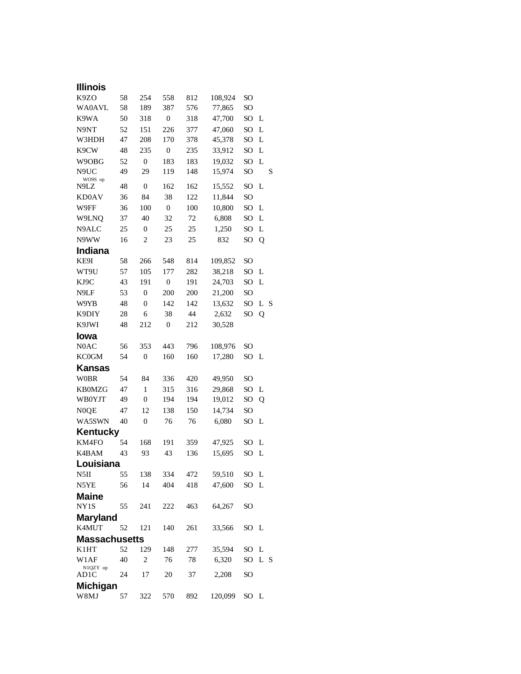| <b>Illinois</b>          |    |                  |                  |     |         |                 |     |   |
|--------------------------|----|------------------|------------------|-----|---------|-----------------|-----|---|
| K9ZO                     | 58 | 254              | 558              | 812 | 108,924 | SO              |     |   |
| <b>WA0AVL</b>            | 58 | 189              | 387              | 576 | 77,865  | SO              |     |   |
| K9WA                     | 50 | 318              | $\boldsymbol{0}$ | 318 | 47,700  | SO <sub>1</sub> | L   |   |
| N9NT                     | 52 | 151              | 226              | 377 | 47,060  | SO <sub>1</sub> | L   |   |
| W3HDH                    | 47 | 208              | 170              | 378 | 45,378  | SO              | L   |   |
| K9CW                     | 48 | 235              | $\boldsymbol{0}$ | 235 | 33,912  | SO              | L   |   |
| W9OBG                    | 52 | $\boldsymbol{0}$ | 183              | 183 | 19,032  | SO              | L   |   |
| N9UC                     | 49 | 29               | 119              | 148 | 15,974  | SO              |     | S |
| WO9S op<br>N9LZ          | 48 | $\boldsymbol{0}$ | 162              | 162 | 15,552  | SO              | L   |   |
| KD0AV                    | 36 | 84               | 38               | 122 | 11,844  | SO              |     |   |
| W9FF                     | 36 | 100              | $\boldsymbol{0}$ | 100 | 10,800  | SO              | L   |   |
| W9LNQ                    | 37 | 40               | 32               | 72  | 6,808   | SO              | L   |   |
| N9ALC                    | 25 | $\boldsymbol{0}$ | 25               | 25  | 1,250   | SO              | L   |   |
| N9WW                     | 16 | $\overline{c}$   | 23               | 25  | 832     | SO              | Q   |   |
| <b>Indiana</b>           |    |                  |                  |     |         |                 |     |   |
| KE9I                     | 58 | 266              | 548              | 814 | 109,852 | SO <sub>1</sub> |     |   |
| WT9U                     | 57 | 105              | 177              | 282 | 38,218  | SO <sub>1</sub> | L   |   |
| KJ9C                     | 43 | 191              | $\boldsymbol{0}$ | 191 | 24,703  | SO              | L   |   |
| N9LF                     | 53 | $\boldsymbol{0}$ | 200              | 200 | 21,200  | SO <sub>1</sub> |     |   |
| W9YB                     | 48 | $\overline{0}$   | 142              | 142 | 13,632  | SO              | L   | S |
| K9DIY                    | 28 | 6                | 38               | 44  | 2,632   | SO              | Q   |   |
| K9JWI                    | 48 | 212              | $\boldsymbol{0}$ | 212 | 30,528  |                 |     |   |
| Iowa                     |    |                  |                  |     |         |                 |     |   |
| N <sub>0</sub> AC        | 56 | 353              | 443              | 796 | 108,976 | SO              |     |   |
| <b>KC0GM</b>             | 54 | $\boldsymbol{0}$ | 160              | 160 | 17,280  | SO <sub>1</sub> | L   |   |
| <b>Kansas</b>            |    |                  |                  |     |         |                 |     |   |
| <b>W0BR</b>              | 54 | 84               | 336              | 420 | 49,950  | SO <sub>1</sub> |     |   |
| <b>KB0MZG</b>            | 47 | 1                | 315              | 316 | 29,868  | SO              | L   |   |
| <b>WB0YJT</b>            | 49 | $\boldsymbol{0}$ | 194              | 194 | 19,012  | SO <sub>1</sub> | Q   |   |
| N0QE                     | 47 | 12               | 138              | 150 | 14,734  | SO              |     |   |
| WA5SWN                   | 40 | $\boldsymbol{0}$ | 76               | 76  | 6,080   | SO              | L   |   |
| Kentucky                 |    |                  |                  |     |         |                 |     |   |
| KM4FO                    | 54 | 168              | 191              | 359 | 47,925  | SO <sub>1</sub> | L   |   |
| K4BAM                    | 43 | 93               | 43               | 136 | 15,695  | SO              | L   |   |
| I ouisiana               |    |                  |                  |     |         |                 |     |   |
| N5II                     | 55 | 138              | 334              | 472 | 59,510  | SO L            |     |   |
| N5YE                     | 56 | 14               | 404              | 418 | 47,600  | SO <sub>1</sub> | L   |   |
| <b>Maine</b>             |    |                  |                  |     |         |                 |     |   |
| NY1S                     | 55 | 241              | 222              | 463 | 64,267  | SO              |     |   |
| <b>Maryland</b><br>K4MUT | 52 | 121              | 140              | 261 | 33,566  | SO L            |     |   |
| <b>Massachusetts</b>     |    |                  |                  |     |         |                 |     |   |
| K1HT                     | 52 | 129              | 148              | 277 | 35,594  | SO.             | L   |   |
| W1AF                     | 40 | $\overline{c}$   | 76               | 78  | 6,320   | SO              | L S |   |
| N1QZY op                 |    |                  |                  |     |         |                 |     |   |
| AD1C                     | 24 | 17               | 20               | 37  | 2,208   | SO              |     |   |
| <b>Michigan</b>          |    |                  |                  |     |         |                 |     |   |
| W8MJ                     | 57 | 322              | 570              | 892 | 120,099 | SO L            |     |   |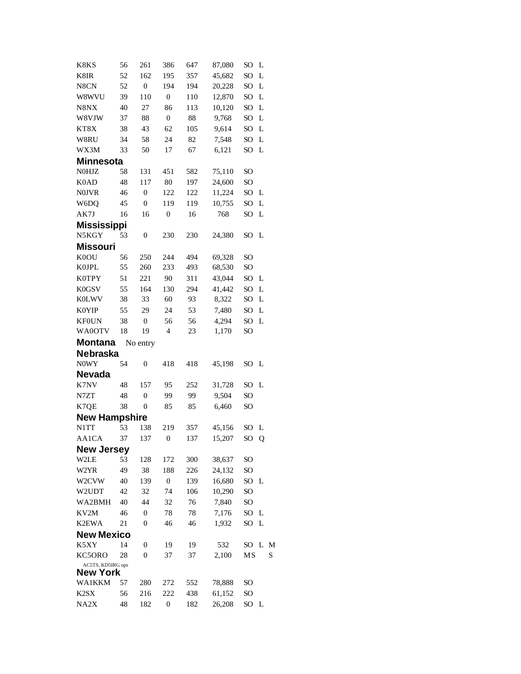| K8KS                          | 56       | 261              | 386                     | 647        | 87,080           | SO                    | L |   |
|-------------------------------|----------|------------------|-------------------------|------------|------------------|-----------------------|---|---|
| K8IR                          | 52       | 162              | 195                     | 357        | 45,682           | SO                    | L |   |
| N8CN                          | 52       | $\boldsymbol{0}$ | 194                     | 194        | 20,228           | SO                    | L |   |
| W8WVU                         | 39       | 110              | $\boldsymbol{0}$        | 110        | 12,870           | SO                    | L |   |
| N8NX                          | 40       | 27               | 86                      | 113        | 10,120           | SO                    | L |   |
| W8VJW                         | 37       | 88               | $\boldsymbol{0}$        | 88         | 9,768            | SO                    | L |   |
| KT8X                          | 38       | 43               | 62                      | 105        | 9,614            | SO                    | L |   |
| W8RU                          | 34       | 58               | 24                      | 82         | 7,548            | SO                    | L |   |
| WX3M                          | 33       | 50               | 17                      | 67         | 6,121            | SO                    | L |   |
| <b>Minnesota</b>              |          |                  |                         |            |                  |                       |   |   |
| <b>NOHJZ</b>                  | 58       | 131              | 451                     | 582        | 75,110           | SO                    |   |   |
| K <sub>0</sub> A <sub>D</sub> | 48       | 117              | 80                      | 197        | 24,600           | SO <sub>1</sub>       |   |   |
| <b>NOJVR</b>                  | 46       | $\boldsymbol{0}$ | 122                     | 122        | 11,224           | SO                    | L |   |
| W6DQ                          | 45       | $\boldsymbol{0}$ | 119                     | 119        | 10,755           | SO                    | L |   |
| AK7J                          | 16       | 16               | $\boldsymbol{0}$        | 16         | 768              | SO                    | L |   |
| <b>Mississippi</b>            |          |                  |                         |            |                  |                       |   |   |
| N5KGY                         | 53       | $\boldsymbol{0}$ | 230                     | 230        | 24,380           | SO <sub>1</sub>       | L |   |
| <b>Missouri</b>               |          |                  |                         |            |                  |                       |   |   |
| K0OU                          | 56       | 250              | 244                     | 494        | 69,328           | SO                    |   |   |
| <b>K0JPL</b>                  | 55       | 260              | 233                     | 493        | 68,530           | SO                    |   |   |
| <b>K0TPY</b>                  | 51       | 221              | 90                      | 311        | 43,044           | SO                    | L |   |
| K0GSV                         | 55       | 164              | 130                     | 294        | 41,442           | SO <sub>1</sub>       | L |   |
| <b>K0LWV</b>                  | 38       | 33               | 60                      | 93         | 8,322            | SO                    | L |   |
| <b>K0YIP</b>                  | 55       | 29               | 24                      | 53         | 7,480            | SO                    | L |   |
| <b>KF0UN</b>                  | 38       | $\boldsymbol{0}$ | 56                      | 56         | 4,294            | SO                    | L |   |
| WA0OTV                        | 18       | 19               | $\overline{4}$          | 23         | 1,170            | SO                    |   |   |
| <b>Montana</b>                |          | No entry         |                         |            |                  |                       |   |   |
| Nebraska                      |          |                  |                         |            |                  |                       |   |   |
| N0WY                          | 54       | $\boldsymbol{0}$ | 418                     | 418        | 45,198           | SO <sub>1</sub>       | L |   |
| <b>Nevada</b>                 |          |                  |                         |            |                  |                       |   |   |
| K7NV                          | 48       | 157              | 95                      | 252        | 31,728           | SO                    | L |   |
| N7ZT                          | 48       | $\overline{0}$   | 99                      | 99         | 9,504            | SO                    |   |   |
| K7QE                          | 38       | $\boldsymbol{0}$ | 85                      | 85         | 6,460            | SO                    |   |   |
| <b>New Hampshire</b>          |          |                  |                         |            |                  |                       |   |   |
| N1TT                          | 53       | 138              | 219                     | 357        | 45,156           | <b>SO</b>             | L |   |
| AA1CA                         | 37       | 137              | $\mathbf{0}$            | 137        | 15,207           | SO <sub></sub>        | Q |   |
| New Jersey                    |          |                  |                         |            |                  |                       |   |   |
| W2LE                          | 53       | 128              | 172                     | 300        | 38,637           | SO                    |   |   |
| W2YR                          |          |                  |                         |            |                  |                       |   |   |
|                               | 49       | 38               | 188                     | 226        | 24,132           | SO                    |   |   |
| W2CVW                         | 40       | 139              | $\boldsymbol{0}$        | 139        | 16,680           | SO                    | L |   |
| W2UDT                         | 42       | 32               | 74                      | 106        | 10,290           | SO <sub>1</sub>       |   |   |
| WA2BMH                        | 40       | 44               | 32                      | 76         | 7,840            | SO                    |   |   |
| KV2M                          | 46       | $\overline{0}$   | 78                      | 78         | 7,176            | SO                    | L |   |
| <b>K2EWA</b>                  | 21       | $\boldsymbol{0}$ | 46                      | 46         | 1,932            | SO                    | L |   |
| <b>New Mexico</b>             |          |                  |                         |            |                  |                       |   |   |
| K5XY                          | 14       | 0                | 19                      | 19         | 532              | SO                    | L | M |
| KC5ORO                        | 28       | 0                | 37                      | 37         | 2,100            | MS                    |   | S |
| AC5TS, KD5IRG ops             |          |                  |                         |            |                  |                       |   |   |
| New York                      |          |                  |                         |            |                  |                       |   |   |
| <b>WA1KKM</b>                 | 57       | 280              | 272                     | 552        | 78,888           | SO                    |   |   |
| K <sub>2</sub> SX<br>NA2X     | 56<br>48 | 216<br>182       | 222<br>$\boldsymbol{0}$ | 438<br>182 | 61,152<br>26,208 | SO <sub>1</sub><br>SO | L |   |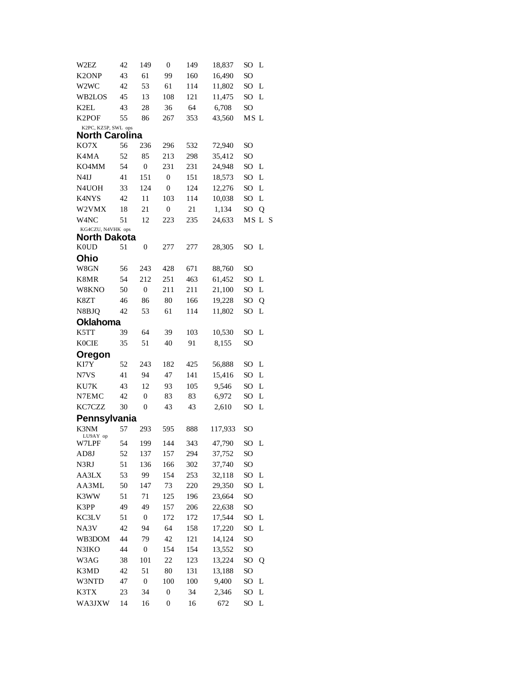| W2EZ                                   | 42       | 149              | $\boldsymbol{0}$ | 149 | 18,837  | SO              | L      |
|----------------------------------------|----------|------------------|------------------|-----|---------|-----------------|--------|
| K <sub>2</sub> ONP                     | 43       | 61               | 99               | 160 | 16,490  | SO <sub>1</sub> |        |
| W <sub>2</sub> W <sub>C</sub>          | 42       | 53               | 61               | 114 | 11,802  | SO              | L      |
| WB2LOS                                 | 45       | 13               | 108              | 121 | 11,475  | SO              | L      |
| K2EL                                   | 43       | 28               | 36               | 64  | 6,708   | SO <sub>1</sub> |        |
| K <sub>2</sub> POF                     | 55       | 86               | 267              | 353 | 43,560  | MS L            |        |
| K2PC, KZ5P, SWL ops                    |          |                  |                  |     |         |                 |        |
| <b>North Carolina</b>                  |          |                  |                  |     |         |                 |        |
| KO7X                                   | 56       | 236              | 296              | 532 | 72,940  | SO              |        |
| K4MA                                   | 52       | 85               | 213              | 298 | 35,412  | SO              |        |
| KO4MM                                  | 54       | $\boldsymbol{0}$ | 231              | 231 | 24,948  | SO              | L      |
| N <sub>4</sub> IJ                      | 41       | 151              | $\boldsymbol{0}$ | 151 | 18,573  | SO              | L      |
| N4UOH                                  | 33       | 124              | $\mathbf{0}$     | 124 | 12,276  | SO              | L      |
| K4NYS                                  | 42       | 11               | 103              | 114 | 10,038  | SO              | L      |
| W2VMX                                  | 18       | 21               | $\boldsymbol{0}$ | 21  | 1,134   | SO              | Q      |
| W <sub>4</sub> NC<br>KG4CZU, N4VHK ops | 51       | 12               | 223              | 235 | 24,633  |                 | MS L S |
| <b>North Dakota</b>                    |          |                  |                  |     |         |                 |        |
| K <sub>0</sub> U <sub>D</sub>          | 51       | $\boldsymbol{0}$ | 277              | 277 | 28,305  | SO L            |        |
| Ohio                                   |          |                  |                  |     |         |                 |        |
| W8GN                                   | 56       | 243              | 428              | 671 | 88,760  | SO              |        |
| K8MR                                   | 54       | 212              | 251              | 463 | 61,452  | SO              | L      |
| W8KNO                                  | 50       | $\boldsymbol{0}$ | 211              | 211 | 21,100  | SO              | L      |
| K8ZT                                   | 46       | 86               | 80               | 166 | 19,228  | SO              | Q      |
| N8BJQ                                  | 42       | 53               | 61               | 114 | 11,802  | SO              | L      |
| <b>Oklahoma</b>                        |          |                  |                  |     |         |                 |        |
| K5TT                                   | 39       | 64               | 39               | 103 | 10,530  | SO              | L      |
| <b>K0CIE</b>                           | 35       | 51               | 40               | 91  | 8,155   | SO              |        |
| Oregon                                 |          |                  |                  |     |         |                 |        |
| KI7Y                                   | 52       | 243              | 182              | 425 | 56,888  | SO.             | L      |
| N7VS                                   | 41       | 94               | 47               | 141 | 15,416  | SO              | L      |
| KU7K                                   | 43       | 12               | 93               | 105 | 9,546   | SO              | L      |
| N7EMC                                  | 42       | $\boldsymbol{0}$ | 83               | 83  | 6,972   | SO              | L      |
| KC7CZZ                                 | 30       | $\boldsymbol{0}$ | 43               | 43  | 2,610   | SO              | L      |
| Pennsylvania                           |          |                  |                  |     |         |                 |        |
| K3NM                                   | 57       | 293              | 595              | 888 | 117,933 | SO              |        |
| LU9AY op                               |          |                  |                  |     |         |                 |        |
| W7LPF                                  | 54       | 199              | 144              | 343 | 47,790  | SO              | L      |
| AD8J                                   | 52       | 137              | 157              | 294 | 37,752  | SO <sub>1</sub> |        |
| N3RJ                                   | 51       | 136              | 166              | 302 | 37,740  | SO <sub>1</sub> |        |
| AA3LX                                  | 53<br>50 | 99               | 154              | 253 | 32,118  | SO              | L      |
| AA3ML                                  |          | 147              | 73               | 220 | 29,350  | SO              | L      |
| K3WW                                   | 51       | 71               | 125              | 196 | 23,664  | SO <sub>1</sub> |        |
| K3PP                                   | 49       | 49               | 157              | 206 | 22,638  | SO              |        |
| KC3LV                                  | 51       | $\boldsymbol{0}$ | 172              | 172 | 17,544  | SO              | L      |
| NA3V                                   | 42       | 94               | 64               | 158 | 17,220  | SO <sub>1</sub> | L      |
| WB3DOM                                 | 44       | 79               | 42               | 121 | 14,124  | SO <sub>1</sub> |        |
| N3IKO                                  | 44       | $\boldsymbol{0}$ | 154              | 154 | 13,552  | SO              |        |
| W3AG                                   | 38       | 101              | 22               | 123 | 13,224  | SO <sub>1</sub> | Q      |
| K3MD                                   | 42       | 51               | 80               | 131 | 13,188  | SO <sub>1</sub> |        |
| W3NTD                                  | 47       | $\boldsymbol{0}$ | 100              | 100 | 9,400   | SO              | L      |
| K3TX                                   | 23       | 34               | $\boldsymbol{0}$ | 34  | 2,346   | SO              | L      |
| WA3JXW                                 | 14       | 16               | $\boldsymbol{0}$ | 16  | 672     | SO              | L      |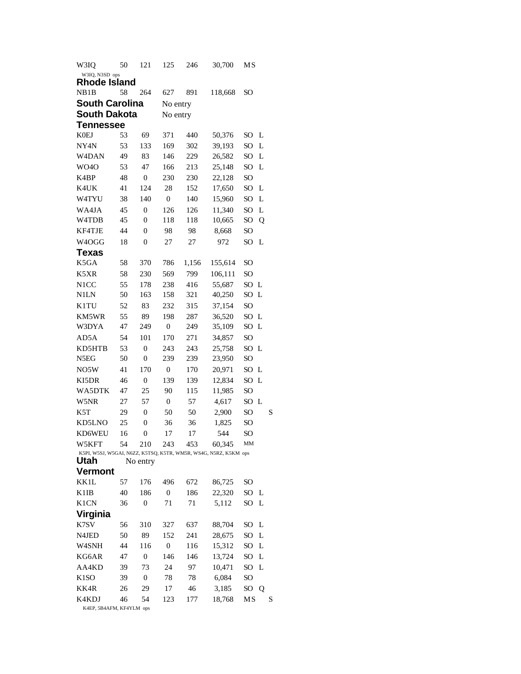| W3IQ                                                                     | 50 | 121              | 125              | 246   | 30,700  | МS              |   |   |  |  |  |
|--------------------------------------------------------------------------|----|------------------|------------------|-------|---------|-----------------|---|---|--|--|--|
| W3IQ, N3SD ops                                                           |    |                  |                  |       |         |                 |   |   |  |  |  |
| Rhode Island                                                             |    |                  |                  |       |         |                 |   |   |  |  |  |
| NB1B                                                                     | 58 | 264              | 627              | 891   | 118,668 | SO              |   |   |  |  |  |
| <b>South Carolina</b>                                                    |    |                  | No entry         |       |         |                 |   |   |  |  |  |
| <b>South Dakota</b>                                                      |    |                  | No entry         |       |         |                 |   |   |  |  |  |
| Tennessee                                                                |    |                  |                  |       |         |                 |   |   |  |  |  |
| <b>K0EJ</b>                                                              | 53 | 69               | 371              | 440   | 50,376  | SO              | L |   |  |  |  |
| NY4N                                                                     | 53 | 133              | 169              | 302   | 39,193  | SO.             | L |   |  |  |  |
| W <sub>4</sub> DAN                                                       | 49 | 83               | 146              | 229   | 26,582  | SO              | L |   |  |  |  |
| <b>WO4O</b>                                                              | 53 | 47               | 166              | 213   | 25,148  | SO              | L |   |  |  |  |
| K <sub>4</sub> BP                                                        | 48 | $\boldsymbol{0}$ | 230              | 230   | 22,128  | SO <sub>1</sub> |   |   |  |  |  |
| K4UK                                                                     | 41 | 124              | 28               | 152   | 17,650  | SO              | L |   |  |  |  |
| W4TYU                                                                    | 38 | 140              | $\overline{0}$   | 140   | 15,960  | SO              | L |   |  |  |  |
| WA4JA                                                                    | 45 | $\boldsymbol{0}$ | 126              | 126   | 11,340  | SO              | L |   |  |  |  |
| W4TDB                                                                    | 45 | $\boldsymbol{0}$ | 118              | 118   | 10,665  | SO              | Q |   |  |  |  |
| KF4TJE                                                                   | 44 | $\overline{0}$   | 98               | 98    | 8,668   | SO              |   |   |  |  |  |
| W4OGG                                                                    | 18 | $\mathbf{0}$     | 27               | 27    | 972     | SO              | L |   |  |  |  |
| Texas                                                                    |    |                  |                  |       |         |                 |   |   |  |  |  |
| K5GA                                                                     | 58 | 370              | 786              | 1,156 | 155,614 | SO              |   |   |  |  |  |
| K5XR                                                                     | 58 | 230              | 569              | 799   | 106,111 | SO              |   |   |  |  |  |
| N <sub>1</sub> CC                                                        | 55 | 178              | 238              | 416   | 55,687  | SO.             | L |   |  |  |  |
| <b>N1LN</b>                                                              | 50 | 163              | 158              | 321   | 40,250  | SO              | L |   |  |  |  |
| K1TU                                                                     | 52 | 83               | 232              | 315   | 37,154  | SO              |   |   |  |  |  |
| KM5WR                                                                    | 55 | 89               | 198              | 287   | 36,520  | SO.             | L |   |  |  |  |
| W3DYA                                                                    | 47 | 249              | $\mathbf{0}$     | 249   | 35,109  | SO              | L |   |  |  |  |
| AD5A                                                                     | 54 | 101              | 170              | 271   |         |                 |   |   |  |  |  |
|                                                                          |    |                  |                  |       | 34,857  | SO              |   |   |  |  |  |
| KD5HTB                                                                   | 53 | $\boldsymbol{0}$ | 243              | 243   | 25,758  | SO              | L |   |  |  |  |
| N5EG                                                                     | 50 | $\mathbf{0}$     | 239              | 239   | 23,950  | SO              |   |   |  |  |  |
| NO5W                                                                     | 41 | 170              | $\boldsymbol{0}$ | 170   | 20,971  | SO              | L |   |  |  |  |
| KI5DR                                                                    | 46 | $\overline{0}$   | 139              | 139   | 12,834  | SO.             | L |   |  |  |  |
| WA5DTK                                                                   | 47 | 25               | 90               | 115   | 11,985  | SO              |   |   |  |  |  |
| W5NR                                                                     | 27 | 57               | $\boldsymbol{0}$ | 57    | 4,617   | SO.             | L |   |  |  |  |
| K5T                                                                      | 29 | $\boldsymbol{0}$ | 50               | 50    | 2,900   | SO              |   | S |  |  |  |
| KD5LNO                                                                   | 25 | 0                | 36               | 36    | 1,825   | SO              |   |   |  |  |  |
| KD6WEU                                                                   | 16 | $\mathbf{0}$     | 17               | 17    | 544     | SO              |   |   |  |  |  |
| W5KFT                                                                    | 54 | 210              | 243              | 453   | 60,345  | MМ              |   |   |  |  |  |
| K5PI, W5SJ, W5GAI, N6ZZ, K5TSQ, K5TR, WM5R, WS4G, N5RZ, K5KM ops<br>Utah |    | No entry         |                  |       |         |                 |   |   |  |  |  |
| <b>Vermont</b>                                                           |    |                  |                  |       |         |                 |   |   |  |  |  |
| KK1L                                                                     | 57 | 176              | 496              | 672   | 86,725  | SO              |   |   |  |  |  |
| K <sub>1</sub> IB                                                        | 40 | 186              | $\boldsymbol{0}$ | 186   | 22,320  | SO              | L |   |  |  |  |
| <b>K1CN</b>                                                              | 36 | $\boldsymbol{0}$ | 71               | 71    | 5,112   | SO              | L |   |  |  |  |
|                                                                          |    |                  |                  |       |         |                 |   |   |  |  |  |
| Virginia                                                                 |    |                  |                  |       |         |                 |   |   |  |  |  |
| K7SV                                                                     | 56 | 310              | 327              | 637   | 88,704  | SO              | L |   |  |  |  |
| N4JED                                                                    | 50 | 89               | 152              | 241   | 28,675  | SO              | L |   |  |  |  |
| W4SNH                                                                    | 44 | 116              | $\boldsymbol{0}$ | 116   | 15,312  | SO              | L |   |  |  |  |
| KG6AR                                                                    | 47 | $\boldsymbol{0}$ | 146              | 146   | 13,724  | SO              | L |   |  |  |  |
| AA4KD                                                                    | 39 | 73               | 24               | 97    | 10,471  | SO              | L |   |  |  |  |
| K <sub>1</sub> SO                                                        | 39 | $\boldsymbol{0}$ | 78               | 78    | 6,084   | SO              |   |   |  |  |  |
| KK4R                                                                     | 26 | 29               | 17               | 46    | 3,185   | SO              | Q |   |  |  |  |
| K4KDJ                                                                    | 46 | 54               | 123              | 177   | 18,768  | МS              |   | S |  |  |  |

K4EP, 5B4AFM, KF4YLM ops